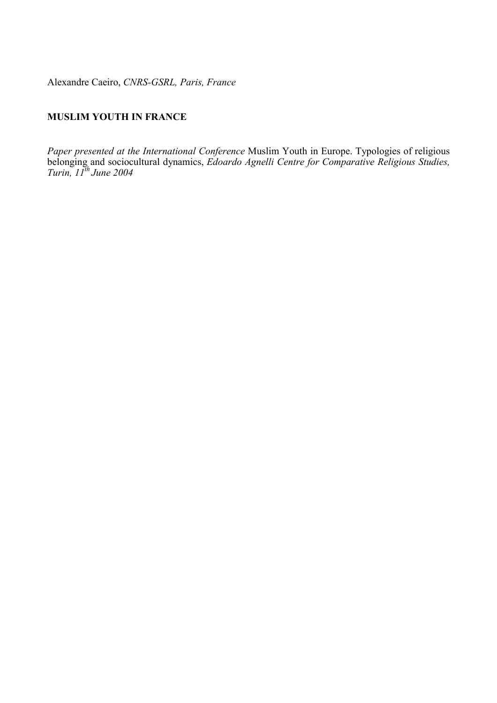Alexandre Caeiro, *CNRS-GSRL, Paris, France* 

# **MUSLIM YOUTH IN FRANCE**

*Paper presented at the International Conference* Muslim Youth in Europe. Typologies of religious belonging and sociocultural dynamics, *Edoardo Agnelli Centre for Comparative Religious Studies, Turin, 11th June 2004*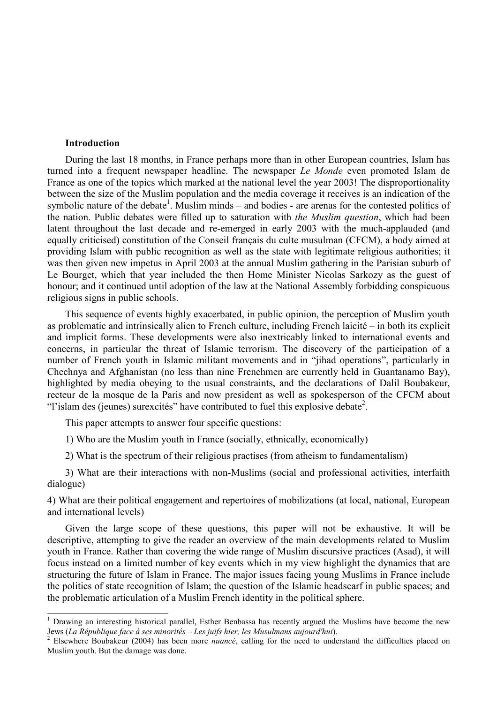### **Introduction**

 $\overline{\phantom{a}}$ 

During the last 18 months, in France perhaps more than in other European countries, Islam has turned into a frequent newspaper headline. The newspaper *Le Monde* even promoted Islam de France as one of the topics which marked at the national level the year 2003! The disproportionality between the size of the Muslim population and the media coverage it receives is an indication of the symbolic nature of the debate<sup>1</sup>. Muslim minds – and bodies - are arenas for the contested politics of the nation. Public debates were filled up to saturation with *the Muslim question*, which had been latent throughout the last decade and re-emerged in early 2003 with the much-applauded (and equally criticised) constitution of the Conseil français du culte musulman (CFCM), a body aimed at providing Islam with public recognition as well as the state with legitimate religious authorities; it was then given new impetus in April 2003 at the annual Muslim gathering in the Parisian suburb of Le Bourget, which that year included the then Home Minister Nicolas Sarkozy as the guest of honour; and it continued until adoption of the law at the National Assembly forbidding conspicuous religious signs in public schools.

This sequence of events highly exacerbated, in public opinion, the perception of Muslim youth as problematic and intrinsically alien to French culture, including French laicité – in both its explicit and implicit forms. These developments were also inextricably linked to international events and concerns, in particular the threat of Islamic terrorism. The discovery of the participation of a number of French youth in Islamic militant movements and in "jihad operations", particularly in Chechnya and Afghanistan (no less than nine Frenchmen are currently held in Guantanamo Bay), highlighted by media obeying to the usual constraints, and the declarations of Dalil Boubakeur, recteur de la mosque de la Paris and now president as well as spokesperson of the CFCM about "l'islam des (jeunes) surexcités" have contributed to fuel this explosive debate<sup>2</sup>.

This paper attempts to answer four specific questions:

1) Who are the Muslim youth in France (socially, ethnically, economically)

2) What is the spectrum of their religious practises (from atheism to fundamentalism)

3) What are their interactions with non-Muslims (social and professional activities, interfaith dialogue)

4) What are their political engagement and repertoires of mobilizations (at local, national, European and international levels)

Given the large scope of these questions, this paper will not be exhaustive. It will be descriptive, attempting to give the reader an overview of the main developments related to Muslim youth in France. Rather than covering the wide range of Muslim discursive practices (Asad), it will focus instead on a limited number of key events which in my view highlight the dynamics that are structuring the future of Islam in France. The major issues facing young Muslims in France include the politics of state recognition of Islam; the question of the Islamic headscarf in public spaces; and the problematic articulation of a Muslim French identity in the political sphere.

<sup>&</sup>lt;sup>1</sup> Drawing an interesting historical parallel, Esther Benbassa has recently argued the Muslims have become the new Jews (*La République face à ses minorités – Les juifs hier, les Musulmans aujourd'hui*). 2

<sup>&</sup>lt;sup>2</sup> Elsewhere Boubakeur (2004) has been more *nuancé*, calling for the need to understand the difficulties placed on Muslim youth. But the damage was done.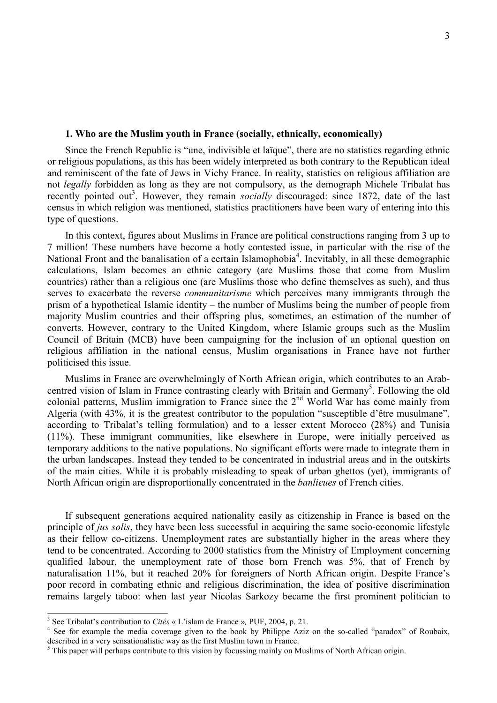### **1. Who are the Muslim youth in France (socially, ethnically, economically)**

Since the French Republic is "une, indivisible et laïque", there are no statistics regarding ethnic or religious populations, as this has been widely interpreted as both contrary to the Republican ideal and reminiscent of the fate of Jews in Vichy France. In reality, statistics on religious affiliation are not *legally* forbidden as long as they are not compulsory, as the demograph Michele Tribalat has recently pointed out<sup>3</sup>. However, they remain *socially* discouraged: since 1872, date of the last census in which religion was mentioned, statistics practitioners have been wary of entering into this type of questions.

In this context, figures about Muslims in France are political constructions ranging from 3 up to 7 million! These numbers have become a hotly contested issue, in particular with the rise of the National Front and the banalisation of a certain Islamophobia<sup>4</sup>. Inevitably, in all these demographic calculations, Islam becomes an ethnic category (are Muslims those that come from Muslim countries) rather than a religious one (are Muslims those who define themselves as such), and thus serves to exacerbate the reverse *communitarisme* which perceives many immigrants through the prism of a hypothetical Islamic identity – the number of Muslims being the number of people from majority Muslim countries and their offspring plus, sometimes, an estimation of the number of converts. However, contrary to the United Kingdom, where Islamic groups such as the Muslim Council of Britain (MCB) have been campaigning for the inclusion of an optional question on religious affiliation in the national census, Muslim organisations in France have not further politicised this issue.

Muslims in France are overwhelmingly of North African origin, which contributes to an Arabcentred vision of Islam in France contrasting clearly with Britain and Germany<sup>5</sup>. Following the old colonial patterns, Muslim immigration to France since the  $2<sup>nd</sup>$  World War has come mainly from Algeria (with 43%, it is the greatest contributor to the population "susceptible d'être musulmane", according to Tribalat's telling formulation) and to a lesser extent Morocco (28%) and Tunisia (11%). These immigrant communities, like elsewhere in Europe, were initially perceived as temporary additions to the native populations. No significant efforts were made to integrate them in the urban landscapes. Instead they tended to be concentrated in industrial areas and in the outskirts of the main cities. While it is probably misleading to speak of urban ghettos (yet), immigrants of North African origin are disproportionally concentrated in the *banlieues* of French cities.

If subsequent generations acquired nationality easily as citizenship in France is based on the principle of *jus solis*, they have been less successful in acquiring the same socio-economic lifestyle as their fellow co-citizens. Unemployment rates are substantially higher in the areas where they tend to be concentrated. According to 2000 statistics from the Ministry of Employment concerning qualified labour, the unemployment rate of those born French was 5%, that of French by naturalisation 11%, but it reached 20% for foreigners of North African origin. Despite France's poor record in combating ethnic and religious discrimination, the idea of positive discrimination remains largely taboo: when last year Nicolas Sarkozy became the first prominent politician to

<sup>&</sup>lt;sup>3</sup> See Tribalat's contribution to *Cités* « L'islam de France », PUF, 2004, p. 21.

<sup>&</sup>lt;sup>4</sup> See for example the media coverage given to the book by Philippe Aziz on the so-called "paradox" of Roubaix, described in a very sensationalistic way as the first Muslim town in France.

<sup>&</sup>lt;sup>5</sup> This paper will perhaps contribute to this vision by focussing mainly on Muslims of North African origin.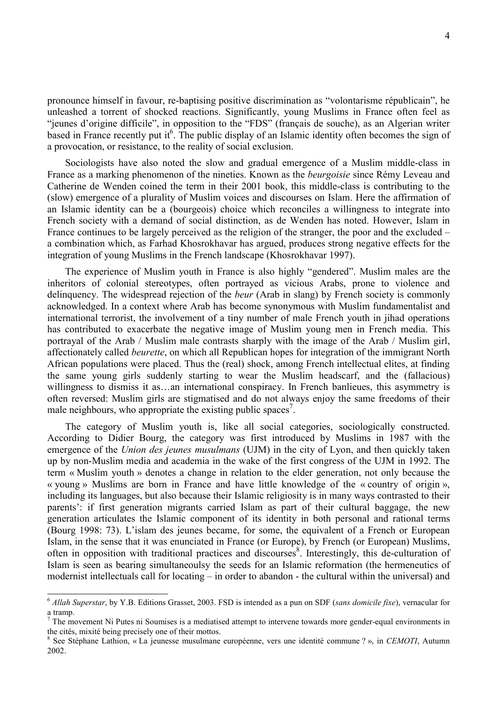pronounce himself in favour, re-baptising positive discrimination as "volontarisme républicain", he unleashed a torrent of shocked reactions. Significantly, young Muslims in France often feel as "jeunes d'origine difficile", in opposition to the "FDS" (français de souche), as an Algerian writer based in France recently put it<sup>6</sup>. The public display of an Islamic identity often becomes the sign of a provocation, or resistance, to the reality of social exclusion.

Sociologists have also noted the slow and gradual emergence of a Muslim middle-class in France as a marking phenomenon of the nineties. Known as the *beurgoisie* since Rémy Leveau and Catherine de Wenden coined the term in their 2001 book, this middle-class is contributing to the (slow) emergence of a plurality of Muslim voices and discourses on Islam. Here the affirmation of an Islamic identity can be a (bourgeois) choice which reconciles a willingness to integrate into French society with a demand of social distinction, as de Wenden has noted. However, Islam in France continues to be largely perceived as the religion of the stranger, the poor and the excluded – a combination which, as Farhad Khosrokhavar has argued, produces strong negative effects for the integration of young Muslims in the French landscape (Khosrokhavar 1997).

The experience of Muslim youth in France is also highly "gendered". Muslim males are the inheritors of colonial stereotypes, often portrayed as vicious Arabs, prone to violence and delinquency. The widespread rejection of the *beur* (Arab in slang) by French society is commonly acknowledged. In a context where Arab has become synonymous with Muslim fundamentalist and international terrorist, the involvement of a tiny number of male French youth in jihad operations has contributed to exacerbate the negative image of Muslim young men in French media. This portrayal of the Arab / Muslim male contrasts sharply with the image of the Arab / Muslim girl, affectionately called *beurette*, on which all Republican hopes for integration of the immigrant North African populations were placed. Thus the (real) shock, among French intellectual elites, at finding the same young girls suddenly starting to wear the Muslim headscarf, and the (fallacious) willingness to dismiss it as…an international conspiracy. In French banlieues, this asymmetry is often reversed: Muslim girls are stigmatised and do not always enjoy the same freedoms of their male neighbours, who appropriate the existing public spaces<sup>7</sup>.

The category of Muslim youth is, like all social categories, sociologically constructed. According to Didier Bourg, the category was first introduced by Muslims in 1987 with the emergence of the *Union des jeunes musulmans* (UJM) in the city of Lyon, and then quickly taken up by non-Muslim media and academia in the wake of the first congress of the UJM in 1992. The term « Muslim youth » denotes a change in relation to the elder generation, not only because the « young » Muslims are born in France and have little knowledge of the « country of origin », including its languages, but also because their Islamic religiosity is in many ways contrasted to their parents': if first generation migrants carried Islam as part of their cultural baggage, the new generation articulates the Islamic component of its identity in both personal and rational terms (Bourg 1998: 73). L'islam des jeunes became, for some, the equivalent of a French or European Islam, in the sense that it was enunciated in France (or Europe), by French (or European) Muslims, often in opposition with traditional practices and discourses<sup>8</sup>. Interestingly, this de-culturation of Islam is seen as bearing simultaneoulsy the seeds for an Islamic reformation (the hermeneutics of modernist intellectuals call for locating – in order to abandon - the cultural within the universal) and

<sup>6</sup> *Allah Superstar*, by Y.B. Editions Grasset, 2003. FSD is intended as a pun on SDF (*sans domicile fixe*), vernacular for a tramp.

<sup>7</sup> The movement Ni Putes ni Soumises is a mediatised attempt to intervene towards more gender-equal environments in the cités, mixité being precisely one of their mottos.

<sup>8</sup> See Stéphane Lathion, « La jeunesse musulmane européenne, vers une identité commune ? », in *CEMOTI*, Autumn 2002.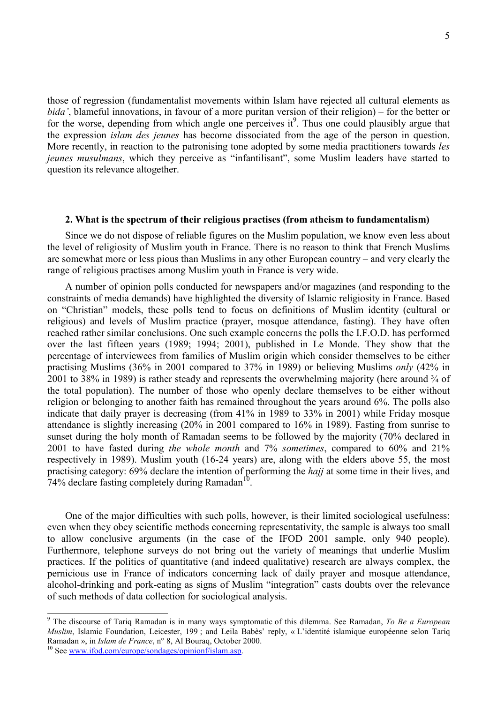those of regression (fundamentalist movements within Islam have rejected all cultural elements as *bida'*, blameful innovations, in favour of a more puritan version of their religion) – for the better or for the worse, depending from which angle one perceives  $it^9$ . Thus one could plausibly argue that the expression *islam des jeunes* has become dissociated from the age of the person in question. More recently, in reaction to the patronising tone adopted by some media practitioners towards *les jeunes musulmans*, which they perceive as "infantilisant", some Muslim leaders have started to question its relevance altogether.

#### **2. What is the spectrum of their religious practises (from atheism to fundamentalism)**

Since we do not dispose of reliable figures on the Muslim population, we know even less about the level of religiosity of Muslim youth in France. There is no reason to think that French Muslims are somewhat more or less pious than Muslims in any other European country – and very clearly the range of religious practises among Muslim youth in France is very wide.

A number of opinion polls conducted for newspapers and/or magazines (and responding to the constraints of media demands) have highlighted the diversity of Islamic religiosity in France. Based on "Christian" models, these polls tend to focus on definitions of Muslim identity (cultural or religious) and levels of Muslim practice (prayer, mosque attendance, fasting). They have often reached rather similar conclusions. One such example concerns the polls the I.F.O.D. has performed over the last fifteen years (1989; 1994; 2001), published in Le Monde. They show that the percentage of interviewees from families of Muslim origin which consider themselves to be either practising Muslims (36% in 2001 compared to 37% in 1989) or believing Muslims *only* (42% in 2001 to 38% in 1989) is rather steady and represents the overwhelming majority (here around ¾ of the total population). The number of those who openly declare themselves to be either without religion or belonging to another faith has remained throughout the years around 6%. The polls also indicate that daily prayer is decreasing (from 41% in 1989 to 33% in 2001) while Friday mosque attendance is slightly increasing (20% in 2001 compared to 16% in 1989). Fasting from sunrise to sunset during the holy month of Ramadan seems to be followed by the majority (70% declared in 2001 to have fasted during *the whole month* and 7% *sometimes*, compared to 60% and 21% respectively in 1989). Muslim youth (16-24 years) are, along with the elders above 55, the most practising category: 69% declare the intention of performing the *hajj* at some time in their lives, and 74% declare fasting completely during Ramadan<sup>10</sup>.

One of the major difficulties with such polls, however, is their limited sociological usefulness: even when they obey scientific methods concerning representativity, the sample is always too small to allow conclusive arguments (in the case of the IFOD 2001 sample, only 940 people). Furthermore, telephone surveys do not bring out the variety of meanings that underlie Muslim practices. If the politics of quantitative (and indeed qualitative) research are always complex, the pernicious use in France of indicators concerning lack of daily prayer and mosque attendance, alcohol-drinking and pork-eating as signs of Muslim "integration" casts doubts over the relevance of such methods of data collection for sociological analysis.

<sup>9</sup> The discourse of Tariq Ramadan is in many ways symptomatic of this dilemma. See Ramadan, *To Be a European Muslim*, Islamic Foundation, Leicester, 199 ; and Leila Babès' reply, « L'identité islamique européenne selon Tariq Ramadan », in *Islam de France*, n° 8, Al Bouraq, October 2000.<br><sup>10</sup> See www.ifod.com/europe/sondages/opinionf/islam.asp.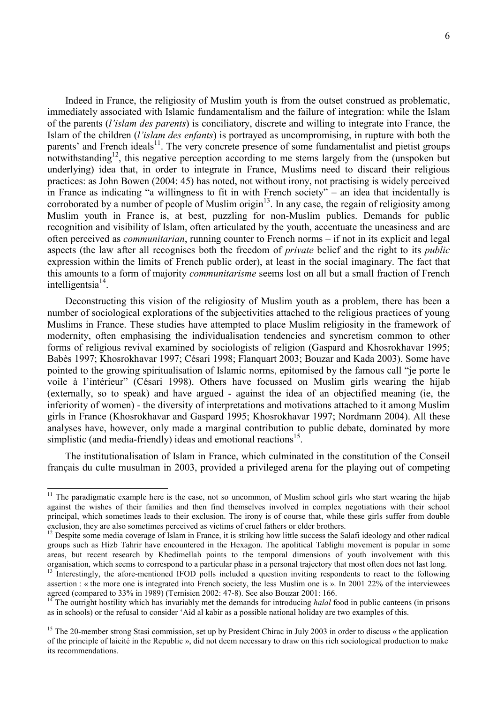Indeed in France, the religiosity of Muslim youth is from the outset construed as problematic, immediately associated with Islamic fundamentalism and the failure of integration: while the Islam of the parents (*l'islam des parents*) is conciliatory, discrete and willing to integrate into France, the Islam of the children (*l'islam des enfants*) is portrayed as uncompromising, in rupture with both the parents' and French ideals $<sup>11</sup>$ . The very concrete presence of some fundamentalist and pietist groups</sup> notwithstanding<sup>12</sup>, this negative perception according to me stems largely from the (unspoken but underlying) idea that, in order to integrate in France, Muslims need to discard their religious practices: as John Bowen (2004: 45) has noted, not without irony, not practising is widely perceived in France as indicating "a willingness to fit in with French society" – an idea that incidentally is corroborated by a number of people of Muslim origin<sup>13</sup>. In any case, the regain of religiosity among Muslim youth in France is, at best, puzzling for non-Muslim publics. Demands for public recognition and visibility of Islam, often articulated by the youth, accentuate the uneasiness and are often perceived as *communitarian*, running counter to French norms – if not in its explicit and legal aspects (the law after all recognises both the freedom of *private* belief and the right to its *public* expression within the limits of French public order), at least in the social imaginary. The fact that this amounts to a form of majority *communitarisme* seems lost on all but a small fraction of French intelligentsia $14$ .

Deconstructing this vision of the religiosity of Muslim youth as a problem, there has been a number of sociological explorations of the subjectivities attached to the religious practices of young Muslims in France. These studies have attempted to place Muslim religiosity in the framework of modernity, often emphasising the individualisation tendencies and syncretism common to other forms of religious revival examined by sociologists of religion (Gaspard and Khosrokhavar 1995; Babès 1997; Khosrokhavar 1997; Césari 1998; Flanquart 2003; Bouzar and Kada 2003). Some have pointed to the growing spiritualisation of Islamic norms, epitomised by the famous call "je porte le voile à l'intérieur" (Césari 1998). Others have focussed on Muslim girls wearing the hijab (externally, so to speak) and have argued - against the idea of an objectified meaning (ie, the inferiority of women) - the diversity of interpretations and motivations attached to it among Muslim girls in France (Khosrokhavar and Gaspard 1995; Khosrokhavar 1997; Nordmann 2004). All these analyses have, however, only made a marginal contribution to public debate, dominated by more simplistic (and media-friendly) ideas and emotional reactions<sup>15</sup>.

The institutionalisation of Islam in France, which culminated in the constitution of the Conseil français du culte musulman in 2003, provided a privileged arena for the playing out of competing

 $11$  The paradigmatic example here is the case, not so uncommon, of Muslim school girls who start wearing the hijab against the wishes of their families and then find themselves involved in complex negotiations with their school principal, which sometimes leads to their exclusion. The irony is of course that, while these girls suffer from double exclusion, they are also sometimes perceived as victims of cruel fathers or elder brothers.

 $12$  Despite some media coverage of Islam in France, it is striking how little success the Salafi ideology and other radical groups such as Hizb Tahrir have encountered in the Hexagon. The apolitical Tablighi movement is popular in some areas, but recent research by Khedimellah points to the temporal dimensions of youth involvement with this organisation, which seems to correspond to a particular phase in a personal trajectory that most often does not last long.

<sup>&</sup>lt;sup>13</sup> Interestingly, the afore-mentioned IFOD polls included a question inviting respondents to react to the following assertion : « the more one is integrated into French society, the less Muslim one is ». In 2001 22% of the interviewees agreed (compared to 33% in 1989) (Ternisien 2002: 47-8). See also Bouzar 2001: 166.

<sup>&</sup>lt;sup>14</sup> The outright hostility which has invariably met the demands for introducing *halal* food in public canteens (in prisons as in schools) or the refusal to consider 'Aid al kabir as a possible national holiday are two examples of this.

<sup>&</sup>lt;sup>15</sup> The 20-member strong Stasi commission, set up by President Chirac in July 2003 in order to discuss  $\alpha$  the application of the principle of laicité in the Republic », did not deem necessary to draw on this rich sociological production to make its recommendations.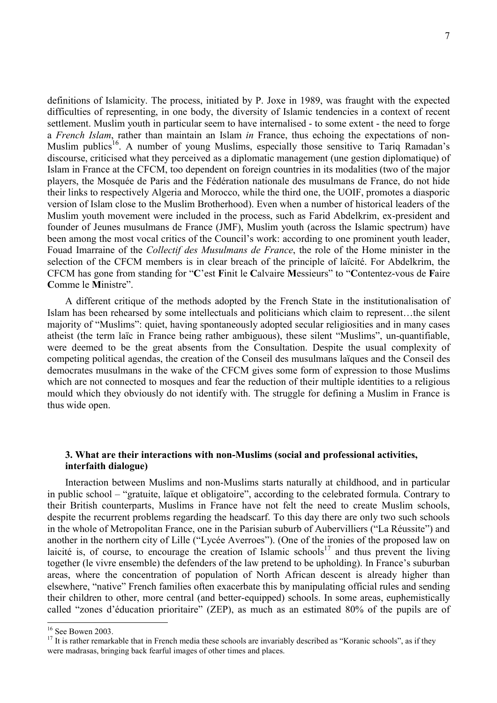definitions of Islamicity. The process, initiated by P. Joxe in 1989, was fraught with the expected difficulties of representing, in one body, the diversity of Islamic tendencies in a context of recent settlement. Muslim youth in particular seem to have internalised - to some extent - the need to forge a *French Islam*, rather than maintain an Islam *in* France, thus echoing the expectations of non-Muslim publics<sup>16</sup>. A number of young Muslims, especially those sensitive to Tariq Ramadan's discourse, criticised what they perceived as a diplomatic management (une gestion diplomatique) of Islam in France at the CFCM, too dependent on foreign countries in its modalities (two of the major players, the Mosquée de Paris and the Fédération nationale des musulmans de France, do not hide their links to respectively Algeria and Morocco, while the third one, the UOIF, promotes a diasporic version of Islam close to the Muslim Brotherhood). Even when a number of historical leaders of the Muslim youth movement were included in the process, such as Farid Abdelkrim, ex-president and founder of Jeunes musulmans de France (JMF), Muslim youth (across the Islamic spectrum) have been among the most vocal critics of the Council's work: according to one prominent youth leader, Fouad Imarraine of the *Collectif des Musulmans de France*, the role of the Home minister in the selection of the CFCM members is in clear breach of the principle of laïcité. For Abdelkrim, the CFCM has gone from standing for "**C**'est **F**init le **C**alvaire **M**essieurs" to "**C**ontentez-vous de **F**aire **C**omme le **M**inistre".

A different critique of the methods adopted by the French State in the institutionalisation of Islam has been rehearsed by some intellectuals and politicians which claim to represent…the silent majority of "Muslims": quiet, having spontaneously adopted secular religiosities and in many cases atheist (the term laïc in France being rather ambiguous), these silent "Muslims", un-quantifiable, were deemed to be the great absents from the Consultation. Despite the usual complexity of competing political agendas, the creation of the Conseil des musulmans laïques and the Conseil des democrates musulmans in the wake of the CFCM gives some form of expression to those Muslims which are not connected to mosques and fear the reduction of their multiple identities to a religious mould which they obviously do not identify with. The struggle for defining a Muslim in France is thus wide open.

# **3. What are their interactions with non-Muslims (social and professional activities, interfaith dialogue)**

Interaction between Muslims and non-Muslims starts naturally at childhood, and in particular in public school – "gratuite, laïque et obligatoire", according to the celebrated formula. Contrary to their British counterparts, Muslims in France have not felt the need to create Muslim schools, despite the recurrent problems regarding the headscarf. To this day there are only two such schools in the whole of Metropolitan France, one in the Parisian suburb of Aubervilliers ("La Réussite") and another in the northern city of Lille ("Lycée Averroes"). (One of the ironies of the proposed law on laicité is, of course, to encourage the creation of Islamic schools<sup>17</sup> and thus prevent the living together (le vivre ensemble) the defenders of the law pretend to be upholding). In France's suburban areas, where the concentration of population of North African descent is already higher than elsewhere, "native" French families often exacerbate this by manipulating official rules and sending their children to other, more central (and better-equipped) schools. In some areas, euphemistically called "zones d'éducation prioritaire" (ZEP), as much as an estimated 80% of the pupils are of

l

<sup>&</sup>lt;sup>16</sup> See Bowen 2003.

 $17$  It is rather remarkable that in French media these schools are invariably described as "Koranic schools", as if they were madrasas, bringing back fearful images of other times and places.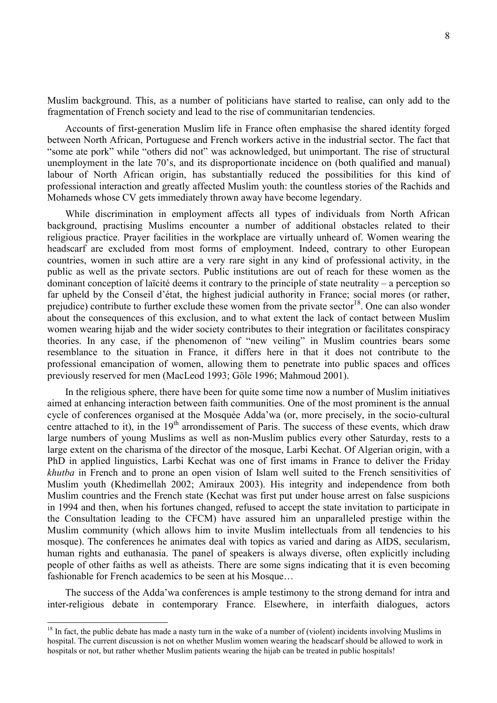Muslim background. This, as a number of politicians have started to realise, can only add to the fragmentation of French society and lead to the rise of communitarian tendencies.

Accounts of first-generation Muslim life in France often emphasise the shared identity forged between North African, Portuguese and French workers active in the industrial sector. The fact that "some ate pork" while "others did not" was acknowledged, but unimportant. The rise of structural unemployment in the late 70's, and its disproportionate incidence on (both qualified and manual) labour of North African origin, has substantially reduced the possibilities for this kind of professional interaction and greatly affected Muslim youth: the countless stories of the Rachids and Mohameds whose CV gets immediately thrown away have become legendary.

While discrimination in employment affects all types of individuals from North African background, practising Muslims encounter a number of additional obstacles related to their religious practice. Prayer facilities in the workplace are virtually unheard of. Women wearing the headscarf are excluded from most forms of employment. Indeed, contrary to other European countries, women in such attire are a very rare sight in any kind of professional activity, in the public as well as the private sectors. Public institutions are out of reach for these women as the dominant conception of laïcité deems it contrary to the principle of state neutrality – a perception so far upheld by the Conseil d'état, the highest judicial authority in France; social mores (or rather, prejudice) contribute to further exclude these women from the private sector<sup>18</sup>. One can also wonder about the consequences of this exclusion, and to what extent the lack of contact between Muslim women wearing hijab and the wider society contributes to their integration or facilitates conspiracy theories. In any case, if the phenomenon of "new veiling" in Muslim countries bears some resemblance to the situation in France, it differs here in that it does not contribute to the professional emancipation of women, allowing them to penetrate into public spaces and offices previously reserved for men (MacLeod 1993; Göle 1996; Mahmoud 2001).

In the religious sphere, there have been for quite some time now a number of Muslim initiatives aimed at enhancing interaction between faith communities. One of the most prominent is the annual cycle of conferences organised at the Mosquée Adda'wa (or, more precisely, in the socio-cultural centre attached to it), in the  $19<sup>th</sup>$  arrondissement of Paris. The success of these events, which draw large numbers of young Muslims as well as non-Muslim publics every other Saturday, rests to a large extent on the charisma of the director of the mosque, Larbi Kechat. Of Algerian origin, with a PhD in applied linguistics, Larbi Kechat was one of first imams in France to deliver the Friday *khutba* in French and to prone an open vision of Islam well suited to the French sensitivities of Muslim youth (Khedimellah 2002; Amiraux 2003). His integrity and independence from both Muslim countries and the French state (Kechat was first put under house arrest on false suspicions in 1994 and then, when his fortunes changed, refused to accept the state invitation to participate in the Consultation leading to the CFCM) have assured him an unparalleled prestige within the Muslim community (which allows him to invite Muslim intellectuals from all tendencies to his mosque). The conferences he animates deal with topics as varied and daring as AIDS, secularism, human rights and euthanasia. The panel of speakers is always diverse, often explicitly including people of other faiths as well as atheists. There are some signs indicating that it is even becoming fashionable for French academics to be seen at his Mosque…

The success of the Adda'wa conferences is ample testimony to the strong demand for intra and inter-religious debate in contemporary France. Elsewhere, in interfaith dialogues, actors

l

 $18$  In fact, the public debate has made a nasty turn in the wake of a number of (violent) incidents involving Muslims in hospital. The current discussion is not on whether Muslim women wearing the headscarf should be allowed to work in hospitals or not, but rather whether Muslim patients wearing the hijab can be treated in public hospitals!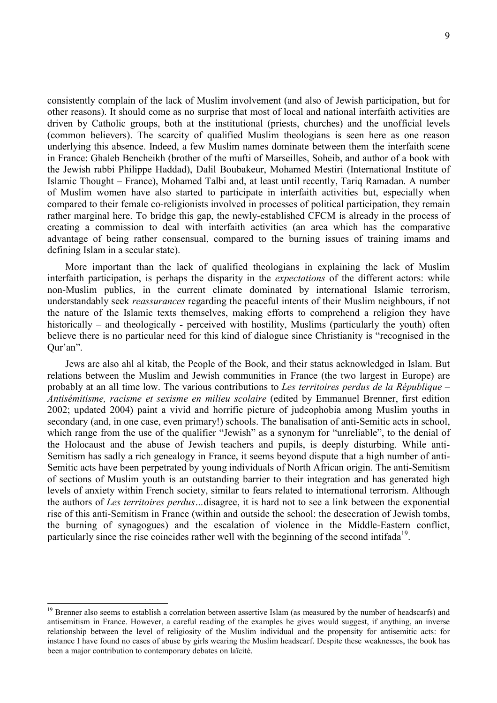consistently complain of the lack of Muslim involvement (and also of Jewish participation, but for other reasons). It should come as no surprise that most of local and national interfaith activities are driven by Catholic groups, both at the institutional (priests, churches) and the unofficial levels (common believers). The scarcity of qualified Muslim theologians is seen here as one reason underlying this absence. Indeed, a few Muslim names dominate between them the interfaith scene in France: Ghaleb Bencheikh (brother of the mufti of Marseilles, Soheib, and author of a book with the Jewish rabbi Philippe Haddad), Dalil Boubakeur, Mohamed Mestiri (International Institute of Islamic Thought – France), Mohamed Talbi and, at least until recently, Tariq Ramadan. A number of Muslim women have also started to participate in interfaith activities but, especially when compared to their female co-religionists involved in processes of political participation, they remain rather marginal here. To bridge this gap, the newly-established CFCM is already in the process of creating a commission to deal with interfaith activities (an area which has the comparative advantage of being rather consensual, compared to the burning issues of training imams and defining Islam in a secular state).

More important than the lack of qualified theologians in explaining the lack of Muslim interfaith participation, is perhaps the disparity in the *expectations* of the different actors: while non-Muslim publics, in the current climate dominated by international Islamic terrorism, understandably seek *reassurances* regarding the peaceful intents of their Muslim neighbours, if not the nature of the Islamic texts themselves, making efforts to comprehend a religion they have historically – and theologically - perceived with hostility, Muslims (particularly the youth) often believe there is no particular need for this kind of dialogue since Christianity is "recognised in the Qur'an".

Jews are also ahl al kitab, the People of the Book, and their status acknowledged in Islam. But relations between the Muslim and Jewish communities in France (the two largest in Europe) are probably at an all time low. The various contributions to *Les territoires perdus de la République – Antisémitisme, racisme et sexisme en milieu scolaire* (edited by Emmanuel Brenner, first edition 2002; updated 2004) paint a vivid and horrific picture of judeophobia among Muslim youths in secondary (and, in one case, even primary!) schools. The banalisation of anti-Semitic acts in school, which range from the use of the qualifier "Jewish" as a synonym for "unreliable", to the denial of the Holocaust and the abuse of Jewish teachers and pupils, is deeply disturbing. While anti-Semitism has sadly a rich genealogy in France, it seems beyond dispute that a high number of anti-Semitic acts have been perpetrated by young individuals of North African origin. The anti-Semitism of sections of Muslim youth is an outstanding barrier to their integration and has generated high levels of anxiety within French society, similar to fears related to international terrorism. Although the authors of *Les territoires perdus…*disagree, it is hard not to see a link between the exponential rise of this anti-Semitism in France (within and outside the school: the desecration of Jewish tombs, the burning of synagogues) and the escalation of violence in the Middle-Eastern conflict, particularly since the rise coincides rather well with the beginning of the second intifada<sup>19</sup>.

<sup>&</sup>lt;sup>19</sup> Brenner also seems to establish a correlation between assertive Islam (as measured by the number of headscarfs) and antisemitism in France. However, a careful reading of the examples he gives would suggest, if anything, an inverse relationship between the level of religiosity of the Muslim individual and the propensity for antisemitic acts: for instance I have found no cases of abuse by girls wearing the Muslim headscarf. Despite these weaknesses, the book has been a major contribution to contemporary debates on laïcité.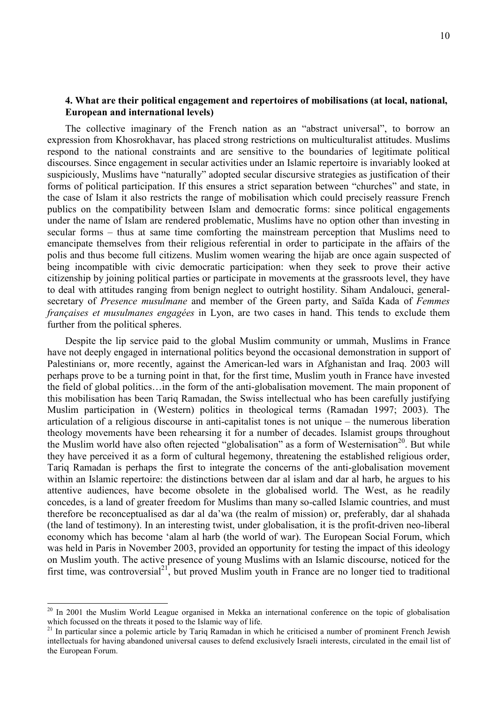# **4. What are their political engagement and repertoires of mobilisations (at local, national, European and international levels)**

The collective imaginary of the French nation as an "abstract universal", to borrow an expression from Khosrokhavar, has placed strong restrictions on multiculturalist attitudes. Muslims respond to the national constraints and are sensitive to the boundaries of legitimate political discourses. Since engagement in secular activities under an Islamic repertoire is invariably looked at suspiciously, Muslims have "naturally" adopted secular discursive strategies as justification of their forms of political participation. If this ensures a strict separation between "churches" and state, in the case of Islam it also restricts the range of mobilisation which could precisely reassure French publics on the compatibility between Islam and democratic forms: since political engagements under the name of Islam are rendered problematic, Muslims have no option other than investing in secular forms – thus at same time comforting the mainstream perception that Muslims need to emancipate themselves from their religious referential in order to participate in the affairs of the polis and thus become full citizens. Muslim women wearing the hijab are once again suspected of being incompatible with civic democratic participation: when they seek to prove their active citizenship by joining political parties or participate in movements at the grassroots level, they have to deal with attitudes ranging from benign neglect to outright hostility. Siham Andalouci, generalsecretary of *Presence musulmane* and member of the Green party, and Saïda Kada of *Femmes françaises et musulmanes engagées* in Lyon, are two cases in hand. This tends to exclude them further from the political spheres.

Despite the lip service paid to the global Muslim community or ummah, Muslims in France have not deeply engaged in international politics beyond the occasional demonstration in support of Palestinians or, more recently, against the American-led wars in Afghanistan and Iraq. 2003 will perhaps prove to be a turning point in that, for the first time, Muslim youth in France have invested the field of global politics…in the form of the anti-globalisation movement. The main proponent of this mobilisation has been Tariq Ramadan, the Swiss intellectual who has been carefully justifying Muslim participation in (Western) politics in theological terms (Ramadan 1997; 2003). The articulation of a religious discourse in anti-capitalist tones is not unique – the numerous liberation theology movements have been rehearsing it for a number of decades. Islamist groups throughout the Muslim world have also often rejected "globalisation" as a form of Westernisation<sup>20</sup>. But while they have perceived it as a form of cultural hegemony, threatening the established religious order, Tariq Ramadan is perhaps the first to integrate the concerns of the anti-globalisation movement within an Islamic repertoire: the distinctions between dar al islam and dar al harb, he argues to his attentive audiences, have become obsolete in the globalised world. The West, as he readily concedes, is a land of greater freedom for Muslims than many so-called Islamic countries, and must therefore be reconceptualised as dar al da'wa (the realm of mission) or, preferably, dar al shahada (the land of testimony). In an interesting twist, under globalisation, it is the profit-driven neo-liberal economy which has become 'alam al harb (the world of war). The European Social Forum, which was held in Paris in November 2003, provided an opportunity for testing the impact of this ideology on Muslim youth. The active presence of young Muslims with an Islamic discourse, noticed for the first time, was controversial<sup>21</sup>, but proved Muslim youth in France are no longer tied to traditional

 $\overline{a}$ 

<sup>&</sup>lt;sup>20</sup> In 2001 the Muslim World League organised in Mekka an international conference on the topic of globalisation which focussed on the threats it posed to the Islamic way of life.

<sup>&</sup>lt;sup>21</sup> In particular since a polemic article by Tariq Ramadan in which he criticised a number of prominent French Jewish intellectuals for having abandoned universal causes to defend exclusively Israeli interests, circulated in the email list of the European Forum.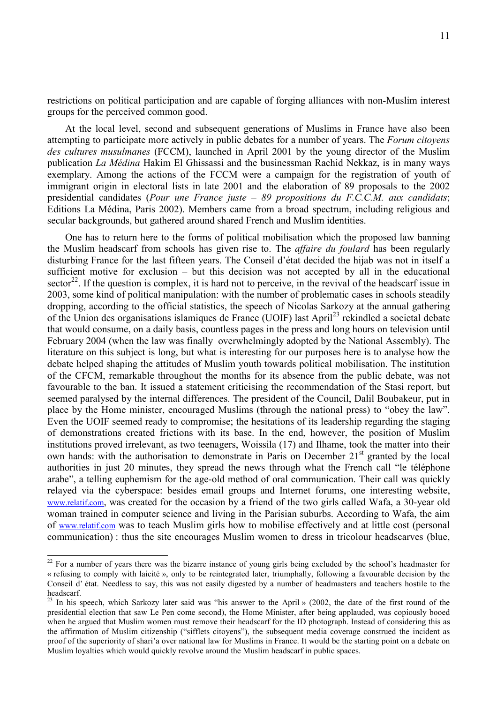restrictions on political participation and are capable of forging alliances with non-Muslim interest groups for the perceived common good.

At the local level, second and subsequent generations of Muslims in France have also been attempting to participate more actively in public debates for a number of years. The *Forum citoyens des cultures musulmanes* (FCCM), launched in April 2001 by the young director of the Muslim publication *La Médina* Hakim El Ghissassi and the businessman Rachid Nekkaz, is in many ways exemplary. Among the actions of the FCCM were a campaign for the registration of youth of immigrant origin in electoral lists in late 2001 and the elaboration of 89 proposals to the 2002 presidential candidates (*Pour une France juste – 89 propositions du F.C.C.M. aux candidats*; Editions La Médina, Paris 2002). Members came from a broad spectrum, including religious and secular backgrounds, but gathered around shared French and Muslim identities.

One has to return here to the forms of political mobilisation which the proposed law banning the Muslim headscarf from schools has given rise to. The *affaire du foulard* has been regularly disturbing France for the last fifteen years. The Conseil d'état decided the hijab was not in itself a sufficient motive for exclusion – but this decision was not accepted by all in the educational sector<sup>22</sup>. If the question is complex, it is hard not to perceive, in the revival of the headscarf issue in 2003, some kind of political manipulation: with the number of problematic cases in schools steadily dropping, according to the official statistics, the speech of Nicolas Sarkozy at the annual gathering of the Union des organisations islamiques de France (UOIF) last April<sup>23</sup> rekindled a societal debate that would consume, on a daily basis, countless pages in the press and long hours on television until February 2004 (when the law was finally overwhelmingly adopted by the National Assembly). The literature on this subject is long, but what is interesting for our purposes here is to analyse how the debate helped shaping the attitudes of Muslim youth towards political mobilisation. The institution of the CFCM, remarkable throughout the months for its absence from the public debate, was not favourable to the ban. It issued a statement criticising the recommendation of the Stasi report, but seemed paralysed by the internal differences. The president of the Council, Dalil Boubakeur, put in place by the Home minister, encouraged Muslims (through the national press) to "obey the law". Even the UOIF seemed ready to compromise; the hesitations of its leadership regarding the staging of demonstrations created frictions with its base. In the end, however, the position of Muslim institutions proved irrelevant, as two teenagers, Woissila (17) and Ilhame, took the matter into their own hands: with the authorisation to demonstrate in Paris on December 21<sup>st</sup> granted by the local authorities in just 20 minutes, they spread the news through what the French call "le téléphone arabe", a telling euphemism for the age-old method of oral communication. Their call was quickly relayed via the cyberspace: besides email groups and Internet forums, one interesting website, www.relatif.com, was created for the occasion by a friend of the two girls called Wafa, a 30-year old woman trained in computer science and living in the Parisian suburbs. According to Wafa, the aim of www.relatif.com was to teach Muslim girls how to mobilise effectively and at little cost (personal communication) : thus the site encourages Muslim women to dress in tricolour headscarves (blue,

 $\overline{a}$ 

<sup>&</sup>lt;sup>22</sup> For a number of years there was the bizarre instance of young girls being excluded by the school's headmaster for « refusing to comply with laicité », only to be reintegrated later, triumphally, following a favourable decision by the Conseil d' état. Needless to say, this was not easily digested by a number of headmasters and teachers hostile to the headscarf.

<sup>&</sup>lt;sup>23</sup> In his speech, which Sarkozy later said was "his answer to the April » (2002, the date of the first round of the presidential election that saw Le Pen come second), the Home Minister, after being applauded, was copiously booed when he argued that Muslim women must remove their headscarf for the ID photograph. Instead of considering this as the affirmation of Muslim citizenship ("sifflets citoyens"), the subsequent media coverage construed the incident as proof of the superiority of shari'a over national law for Muslims in France. It would be the starting point on a debate on Muslim loyalties which would quickly revolve around the Muslim headscarf in public spaces.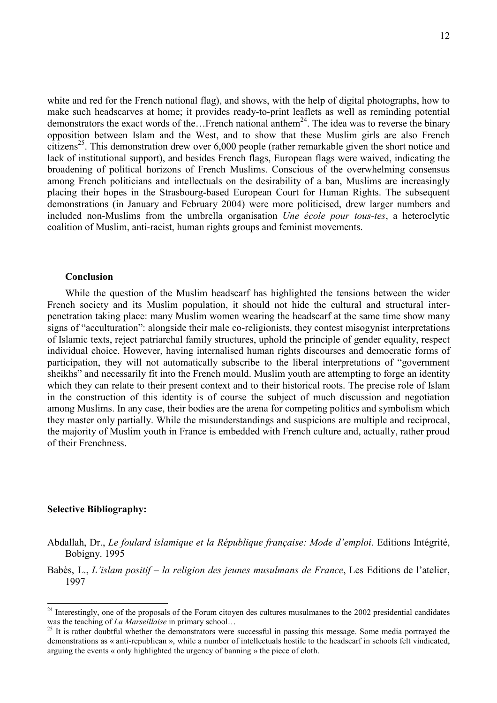white and red for the French national flag), and shows, with the help of digital photographs, how to make such headscarves at home; it provides ready-to-print leaflets as well as reminding potential demonstrators the exact words of the...French national anthem<sup>24</sup>. The idea was to reverse the binary opposition between Islam and the West, and to show that these Muslim girls are also French citizens<sup>25</sup>. This demonstration drew over  $6,000$  people (rather remarkable given the short notice and lack of institutional support), and besides French flags, European flags were waived, indicating the broadening of political horizons of French Muslims. Conscious of the overwhelming consensus among French politicians and intellectuals on the desirability of a ban, Muslims are increasingly placing their hopes in the Strasbourg-based European Court for Human Rights. The subsequent demonstrations (in January and February 2004) were more politicised, drew larger numbers and included non-Muslims from the umbrella organisation *Une école pour tous-tes*, a heteroclytic coalition of Muslim, anti-racist, human rights groups and feminist movements.

#### **Conclusion**

While the question of the Muslim headscarf has highlighted the tensions between the wider French society and its Muslim population, it should not hide the cultural and structural interpenetration taking place: many Muslim women wearing the headscarf at the same time show many signs of "acculturation": alongside their male co-religionists, they contest misogynist interpretations of Islamic texts, reject patriarchal family structures, uphold the principle of gender equality, respect individual choice. However, having internalised human rights discourses and democratic forms of participation, they will not automatically subscribe to the liberal interpretations of "government sheikhs" and necessarily fit into the French mould. Muslim youth are attempting to forge an identity which they can relate to their present context and to their historical roots. The precise role of Islam in the construction of this identity is of course the subject of much discussion and negotiation among Muslims. In any case, their bodies are the arena for competing politics and symbolism which they master only partially. While the misunderstandings and suspicions are multiple and reciprocal, the majority of Muslim youth in France is embedded with French culture and, actually, rather proud of their Frenchness.

### **Selective Bibliography:**

 $\overline{a}$ 

- Abdallah, Dr., *Le foulard islamique et la République française: Mode d'emploi*. Editions Intégrité, Bobigny. 1995
- Babès, L., *L'islam positif la religion des jeunes musulmans de France*, Les Editions de l'atelier, 1997

<sup>&</sup>lt;sup>24</sup> Interestingly, one of the proposals of the Forum citoyen des cultures musulmanes to the 2002 presidential candidates was the teaching of *La Marseillaise* in primary school…<br><sup>25</sup> It is rather doubtful whether the demonstrators were successful in passing this message. Some media portrayed the

demonstrations as « anti-republican », while a number of intellectuals hostile to the headscarf in schools felt vindicated, arguing the events « only highlighted the urgency of banning » the piece of cloth.